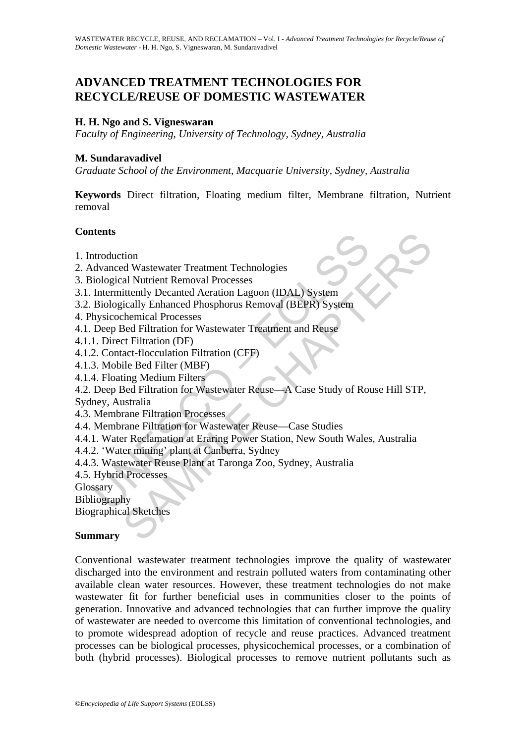# **ADVANCED TREATMENT TECHNOLOGIES FOR RECYCLE/REUSE OF DOMESTIC WASTEWATER**

#### **H. H. Ngo and S. Vigneswaran**

*Faculty of Engineering, University of Technology, Sydney, Australia* 

#### **M. Sundaravadivel**

*Graduate School of the Environment, Macquarie University, Sydney, Australia* 

**Keywords** Direct filtration, Floating medium filter, Membrane filtration, Nutrient removal

#### **Contents**

- 1. Introduction
- 2. Advanced Wastewater Treatment Technologies
- 3. Biological Nutrient Removal Processes
- 3.1. Intermittently Decanted Aeration Lagoon (IDAL) System
- 3.2. Biologically Enhanced Phosphorus Removal (BEPR) System
- 4. Physicochemical Processes
- 4.1. Deep Bed Filtration for Wastewater Treatment and Reuse
- 4.1.1. Direct Filtration (DF)
- 4.1.2. Contact-flocculation Filtration (CFF)
- 4.1.3. Mobile Bed Filter (MBF)
- 4.1.4. Floating Medium Filters
- ntroduction<br>
Introduction<br>
dyanced Wastewater Treatment Technologies<br>
iological Nutrient Removal Processes<br>
Intermittently Decanted Aeration Lagoon (IDAL) System<br>
Biologically Enhanced Phosphorus Removal (BEPR) System<br>
Mys rich<br>
de Wastewater Treatment Technologies<br>
al Nutrient Removal Processes<br>
ittently Decanted Aeration Lagoon (IDAL) System<br>
cically Enhanced Phosphorus Removal (BEPR) System<br>
chemical Processes<br>
et Filtration (DF)<br>
act-flo 4.2. Deep Bed Filtration for Wastewater Reuse—A Case Study of Rouse Hill STP,
- Sydney, Australia
- 4.3. Membrane Filtration Processes
- 4.4. Membrane Filtration for Wastewater Reuse—Case Studies
- 4.4.1. Water Reclamation at Eraring Power Station, New South Wales, Australia
- 4.4.2. 'Water mining' plant at Canberra, Sydney
- 4.4.3. Wastewater Reuse Plant at Taronga Zoo, Sydney, Australia
- 4.5. Hybrid Processes

Glossary

Bibliography

Biographical Sketches

#### **Summary**

Conventional wastewater treatment technologies improve the quality of wastewater discharged into the environment and restrain polluted waters from contaminating other available clean water resources. However, these treatment technologies do not make wastewater fit for further beneficial uses in communities closer to the points of generation. Innovative and advanced technologies that can further improve the quality of wastewater are needed to overcome this limitation of conventional technologies, and to promote widespread adoption of recycle and reuse practices. Advanced treatment processes can be biological processes, physicochemical processes, or a combination of both (hybrid processes). Biological processes to remove nutrient pollutants such as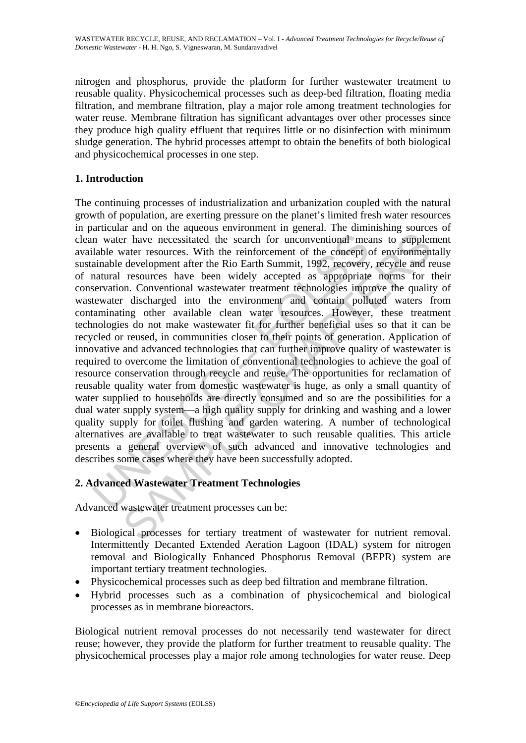nitrogen and phosphorus, provide the platform for further wastewater treatment to reusable quality. Physicochemical processes such as deep-bed filtration, floating media filtration, and membrane filtration, play a major role among treatment technologies for water reuse. Membrane filtration has significant advantages over other processes since they produce high quality effluent that requires little or no disinfection with minimum sludge generation. The hybrid processes attempt to obtain the benefits of both biological and physicochemical processes in one step.

## **1. Introduction**

In water have necessitated the search for unconventional mealable water resources. With the reinforcement of the concept candible development after the Rio Earth Summit, 1992, recovery anatural resources have been widely a r have necessitated the search for unconventional means to suppler<br>are r have necessitated the search for unconventional means to suppler<br>development after the Rio Earth Summit, 1992, recovery, recycle and r<br>esources have The continuing processes of industrialization and urbanization coupled with the natural growth of population, are exerting pressure on the planet's limited fresh water resources in particular and on the aqueous environment in general. The diminishing sources of clean water have necessitated the search for unconventional means to supplement available water resources. With the reinforcement of the concept of environmentally sustainable development after the Rio Earth Summit, 1992, recovery, recycle and reuse of natural resources have been widely accepted as appropriate norms for their conservation. Conventional wastewater treatment technologies improve the quality of wastewater discharged into the environment and contain polluted waters from contaminating other available clean water resources. However, these treatment technologies do not make wastewater fit for further beneficial uses so that it can be recycled or reused, in communities closer to their points of generation. Application of innovative and advanced technologies that can further improve quality of wastewater is required to overcome the limitation of conventional technologies to achieve the goal of resource conservation through recycle and reuse. The opportunities for reclamation of reusable quality water from domestic wastewater is huge, as only a small quantity of water supplied to households are directly consumed and so are the possibilities for a dual water supply system—a high quality supply for drinking and washing and a lower quality supply for toilet flushing and garden watering. A number of technological alternatives are available to treat wastewater to such reusable qualities. This article presents a general overview of such advanced and innovative technologies and describes some cases where they have been successfully adopted.

## **2. Advanced Wastewater Treatment Technologies**

Advanced wastewater treatment processes can be:

- Biological processes for tertiary treatment of wastewater for nutrient removal. Intermittently Decanted Extended Aeration Lagoon (IDAL) system for nitrogen removal and Biologically Enhanced Phosphorus Removal (BEPR) system are important tertiary treatment technologies.
- Physicochemical processes such as deep bed filtration and membrane filtration.
- Hybrid processes such as a combination of physicochemical and biological processes as in membrane bioreactors.

Biological nutrient removal processes do not necessarily tend wastewater for direct reuse; however, they provide the platform for further treatment to reusable quality. The physicochemical processes play a major role among technologies for water reuse. Deep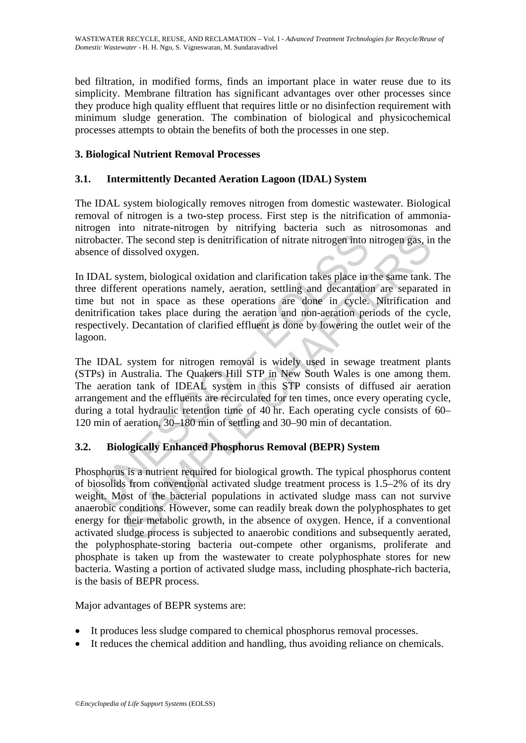bed filtration, in modified forms, finds an important place in water reuse due to its simplicity. Membrane filtration has significant advantages over other processes since they produce high quality effluent that requires little or no disinfection requirement with minimum sludge generation. The combination of biological and physicochemical processes attempts to obtain the benefits of both the processes in one step.

### **3. Biological Nutrient Removal Processes**

#### **3.1. Intermittently Decanted Aeration Lagoon (IDAL) System**

The IDAL system biologically removes nitrogen from domestic wastewater. Biological removal of nitrogen is a two-step process. First step is the nitrification of ammonianitrogen into nitrate-nitrogen by nitrifying bacteria such as nitrosomonas and nitrobacter. The second step is denitrification of nitrate nitrogen into nitrogen gas, in the absence of dissolved oxygen.

bacter. The second step is denitrification of nitrate nitrogen into ince of dissolved oxygen.<br>
DAL system, biological oxidation and clarification takes place in the different operations namely, acration, settling and decan In IDAL system, biological oxidation and clarification takes place in the same tank. The three different operations namely, aeration, settling and decantation are separated in time but not in space as these operations are done in cycle. Nitrification and denitrification takes place during the aeration and non-aeration periods of the cycle, respectively. Decantation of clarified effluent is done by lowering the outlet weir of the lagoon.

The IDAL system for nitrogen removal is widely used in sewage treatment plants (STPs) in Australia. The Quakers Hill STP in New South Wales is one among them. The aeration tank of IDEAL system in this STP consists of diffused air aeration arrangement and the effluents are recirculated for ten times, once every operating cycle, during a total hydraulic retention time of 40 hr. Each operating cycle consists of 60– 120 min of aeration, 30–180 min of settling and 30–90 min of decantation.

## **3.2. Biologically Enhanced Phosphorus Removal (BEPR) System**

The second step is denitrification of nitrate nitrogen into nitrogen gas, in<br>The second step is denitrification of nitrate nitrogen into nitrogen gas, in<br>dissolved oxygen.<br>Stem, biological oxidation and clarification takes Phosphorus is a nutrient required for biological growth. The typical phosphorus content of biosolids from conventional activated sludge treatment process is 1.5–2% of its dry weight. Most of the bacterial populations in activated sludge mass can not survive anaerobic conditions. However, some can readily break down the polyphosphates to get energy for their metabolic growth, in the absence of oxygen. Hence, if a conventional activated sludge process is subjected to anaerobic conditions and subsequently aerated, the polyphosphate-storing bacteria out-compete other organisms, proliferate and phosphate is taken up from the wastewater to create polyphosphate stores for new bacteria. Wasting a portion of activated sludge mass, including phosphate-rich bacteria, is the basis of BEPR process.

Major advantages of BEPR systems are:

- It produces less sludge compared to chemical phosphorus removal processes.
- It reduces the chemical addition and handling, thus avoiding reliance on chemicals.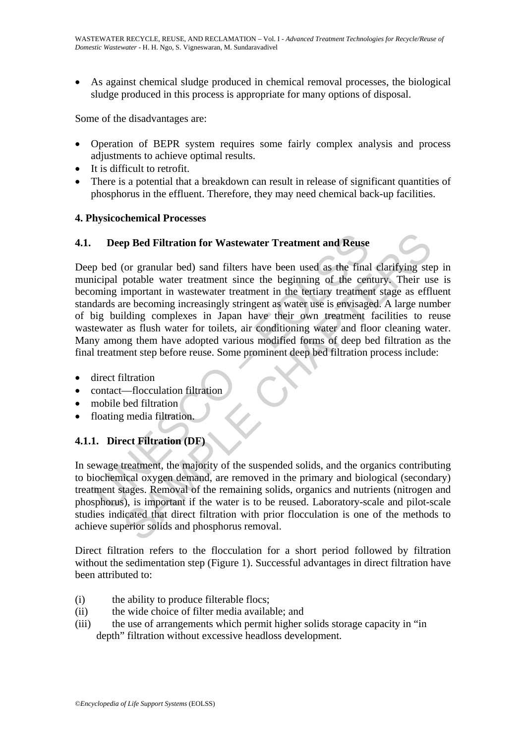As against chemical sludge produced in chemical removal processes, the biological sludge produced in this process is appropriate for many options of disposal.

Some of the disadvantages are:

- Operation of BEPR system requires some fairly complex analysis and process adjustments to achieve optimal results.
- It is difficult to retrofit.
- There is a potential that a breakdown can result in release of significant quantities of phosphorus in the effluent. Therefore, they may need chemical back-up facilities.

#### **4. Physicochemical Processes**

#### **4.1. Deep Bed Filtration for Wastewater Treatment and Reuse**

Deep Bed Filtration for Wastewater Treatment and Reuse<br>
p bed (or granular bed) sand filters have been used as the final<br>
incipal potable water treatment since the beginning of the cen<br>
bening important in wastewater treat **Example 18 Filtration for Wastewater Treatment and Reuse**<br>(or granular bed) sand filters have been used as the final clarifying ste<br>potable water treatment since the beginning of the century. Their us<br>important in wastewa Deep bed (or granular bed) sand filters have been used as the final clarifying step in municipal potable water treatment since the beginning of the century. Their use is becoming important in wastewater treatment in the tertiary treatment stage as effluent standards are becoming increasingly stringent as water use is envisaged. A large number of big building complexes in Japan have their own treatment facilities to reuse wastewater as flush water for toilets, air conditioning water and floor cleaning water. Many among them have adopted various modified forms of deep bed filtration as the final treatment step before reuse. Some prominent deep bed filtration process include:

- direct filtration
- contact—flocculation filtration
- mobile bed filtration
- floating media filtration.

## **4.1.1. Direct Filtration (DF)**

In sewage treatment, the majority of the suspended solids, and the organics contributing to biochemical oxygen demand, are removed in the primary and biological (secondary) treatment stages. Removal of the remaining solids, organics and nutrients (nitrogen and phosphorus), is important if the water is to be reused. Laboratory-scale and pilot-scale studies indicated that direct filtration with prior flocculation is one of the methods to achieve superior solids and phosphorus removal.

Direct filtration refers to the flocculation for a short period followed by filtration without the sedimentation step (Figure 1). Successful advantages in direct filtration have been attributed to:

- (i) the ability to produce filterable flocs;
- (ii) the wide choice of filter media available; and
- (iii) the use of arrangements which permit higher solids storage capacity in "in depth" filtration without excessive headloss development.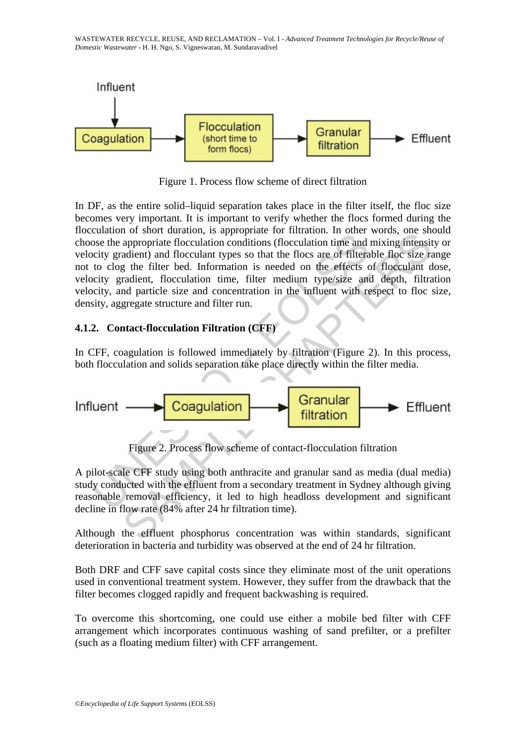WASTEWATER RECYCLE, REUSE, AND RECLAMATION – Vol. I - *Advanced Treatment Technologies for Recycle/Reuse of Domestic Wastewater* - H. H. Ngo, S. Vigneswaran, M. Sundaravadivel



Figure 1. Process flow scheme of direct filtration

Example 10 short cannot, a septeptinal of the effection conditions (floculation time and<br>city gradient) and floculation conditions (floculation time and<br>to clog the filter bed. Information is needed on the effects to<br>city The station and solid suppropriate focculation conditions (flocculation time and mixing intensity<br>appropriate flocculation conditions (flocculation time and mixing intensity<br>adient) and flocculation time steel on the effec In DF, as the entire solid–liquid separation takes place in the filter itself, the floc size becomes very important. It is important to verify whether the flocs formed during the flocculation of short duration, is appropriate for filtration. In other words, one should choose the appropriate flocculation conditions (flocculation time and mixing intensity or velocity gradient) and flocculant types so that the flocs are of filterable floc size range not to clog the filter bed. Information is needed on the effects of flocculant dose, velocity gradient, flocculation time, filter medium type/size and depth, filtration velocity, and particle size and concentration in the influent with respect to floc size, density, aggregate structure and filter run.

## **4.1.2. Contact-flocculation Filtration (CFF)**

In CFF, coagulation is followed immediately by filtration (Figure 2). In this process, both flocculation and solids separation take place directly within the filter media.



Figure 2. Process flow scheme of contact-flocculation filtration

A pilot-scale CFF study using both anthracite and granular sand as media (dual media) study conducted with the effluent from a secondary treatment in Sydney although giving reasonable removal efficiency, it led to high headloss development and significant decline in flow rate (84% after 24 hr filtration time).

Although the effluent phosphorus concentration was within standards, significant deterioration in bacteria and turbidity was observed at the end of 24 hr filtration.

Both DRF and CFF save capital costs since they eliminate most of the unit operations used in conventional treatment system. However, they suffer from the drawback that the filter becomes clogged rapidly and frequent backwashing is required.

To overcome this shortcoming, one could use either a mobile bed filter with CFF arrangement which incorporates continuous washing of sand prefilter, or a prefilter (such as a floating medium filter) with CFF arrangement.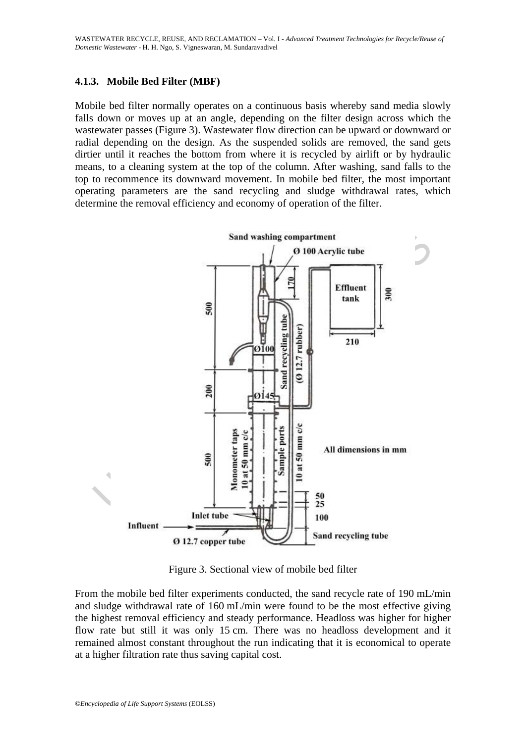#### **4.1.3. Mobile Bed Filter (MBF)**

Mobile bed filter normally operates on a continuous basis whereby sand media slowly falls down or moves up at an angle, depending on the filter design across which the wastewater passes (Figure 3). Wastewater flow direction can be upward or downward or radial depending on the design. As the suspended solids are removed, the sand gets dirtier until it reaches the bottom from where it is recycled by airlift or by hydraulic means, to a cleaning system at the top of the column. After washing, sand falls to the top to recommence its downward movement. In mobile bed filter, the most important operating parameters are the sand recycling and sludge withdrawal rates, which determine the removal efficiency and economy of operation of the filter.



Figure 3. Sectional view of mobile bed filter

From the mobile bed filter experiments conducted, the sand recycle rate of 190 mL/min and sludge withdrawal rate of 160 mL/min were found to be the most effective giving the highest removal efficiency and steady performance. Headloss was higher for higher flow rate but still it was only 15 cm. There was no headloss development and it remained almost constant throughout the run indicating that it is economical to operate at a higher filtration rate thus saving capital cost.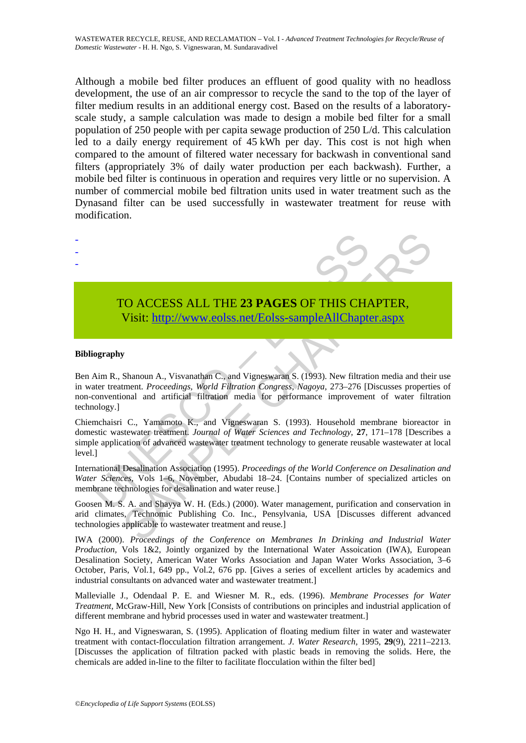Although a mobile bed filter produces an effluent of good quality with no headloss development, the use of an air compressor to recycle the sand to the top of the layer of filter medium results in an additional energy cost. Based on the results of a laboratoryscale study, a sample calculation was made to design a mobile bed filter for a small population of 250 people with per capita sewage production of 250 L/d. This calculation led to a daily energy requirement of 45 kWh per day. This cost is not high when compared to the amount of filtered water necessary for backwash in conventional sand filters (appropriately 3% of daily water production per each backwash). Further, a mobile bed filter is continuous in operation and requires very little or no supervision. A number of commercial mobile bed filtration units used in water treatment such as the Dynasand filter can be used successfully in wastewater treatment for reuse with modification.



# TO ACCESS ALL THE **23 PAGES** OF THIS CHAPTER, Visit: http://www.eolss.net/Eolss-sampleAllChapter.aspx

#### **Bibliography**

- - -

TO ACCESS ALL THE 23 PAGES OF THIS CHANNET VISIT: http://www.eolss.net/Eolss-sampleAllChapte<br>
Visit: http://www.eolss.net/Eolss-sampleAllChapte<br>
in R., Shanoun A., Visvanathan C., and Vigneswaran S. (1993). New filtratiate CO ACCESS ALL THE 23 PAGES OF THIS CH[APTE](https://www.eolss.net/ebooklib/sc_cart.aspx?File=E2-14-01-01)R,<br>
Visit: http://www.eolss.net/Eolss-sampleAllChapter.aspx<br>
Shanoun A., Visvanathan C., and Vigneswaran S. (1993). New filtration media and the<br>
thement. *Proceedings, World Filtra* Ben Aim R., Shanoun A., Visvanathan C., and Vigneswaran S. (1993). New filtration media and their use in water treatment. *Proceedings, World Filtration Congress, Nagoya,* 273–276 [Discusses properties of non-conventional and artificial filtration media for performance improvement of water filtration technology.]

Chiemchaisri C., Yamamoto K., and Vigneswaran S. (1993). Household membrane bioreactor in domestic wastewater treatment. *Journal of Water Sciences and Technology,* **27**, 171–178 [Describes a simple application of advanced wastewater treatment technology to generate reusable wastewater at local level.]

International Desalination Association (1995). *Proceedings of the World Conference on Desalination and Water Sciences,* Vols 1–6, November, Abudabi 18–24. [Contains number of specialized articles on membrane technologies for desalination and water reuse.]

Goosen M. S. A. and Shayya W. H. (Eds.) (2000). Water management, purification and conservation in arid climates, Technomic Publishing Co. Inc., Pensylvania, USA [Discusses different advanced technologies applicable to wastewater treatment and reuse.]

IWA (2000). *Proceedings of the Conference on Membranes In Drinking and Industrial Water Production,* Vols 1&2, Jointly organized by the International Water Assoication (IWA), European Desalination Society, American Water Works Association and Japan Water Works Association, 3–6 October, Paris, Vol.1, 649 pp., Vol.2, 676 pp. [Gives a series of excellent articles by academics and industrial consultants on advanced water and wastewater treatment.]

Mallevialle J., Odendaal P. E. and Wiesner M. R., eds. (1996). *Membrane Processes for Water Treatment,* McGraw-Hill, New York [Consists of contributions on principles and industrial application of different membrane and hybrid processes used in water and wastewater treatment.]

Ngo H. H., and Vigneswaran, S. (1995). Application of floating medium filter in water and wastewater treatment with contact-flocculation filtration arrangement. *J. Water Research,* 1995, **29**(9), 2211–2213. [Discusses the application of filtration packed with plastic beads in removing the solids. Here, the chemicals are added in-line to the filter to facilitate flocculation within the filter bed]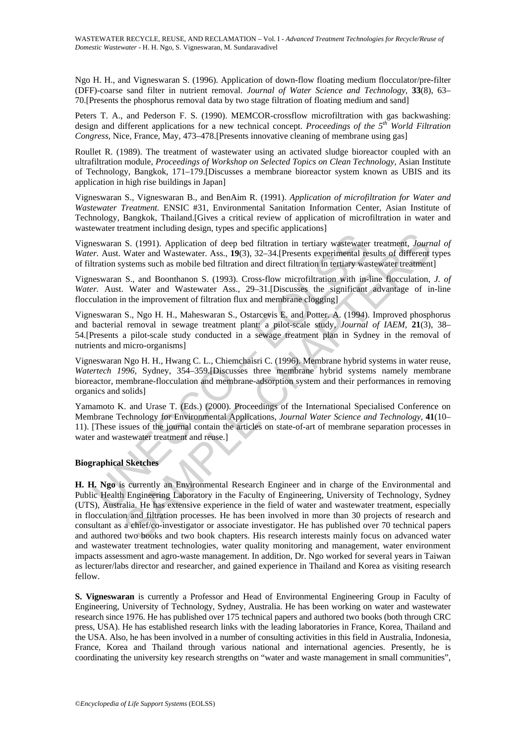Ngo H. H., and Vigneswaran S. (1996). Application of down-flow floating medium flocculator/pre-filter (DFF)-coarse sand filter in nutrient removal. *Journal of Water Science and Technology,* **33**(8), 63– 70.[Presents the phosphorus removal data by two stage filtration of floating medium and sand]

Peters T. A., and Pederson F. S. (1990). MEMCOR-crossflow microfiltration with gas backwashing: design and different applications for a new technical concept. *Proceedings of the 5th World Filtration Congress,* Nice, France, May, 473–478.[Presents innovative cleaning of membrane using gas]

Roullet R. (1989). The treatment of wastewater using an activated sludge bioreactor coupled with an ultrafiltration module, *Proceedings of Workshop on Selected Topics on Clean Technology,* Asian Institute of Technology, Bangkok, 171–179.[Discusses a membrane bioreactor system known as UBIS and its application in high rise buildings in Japan]

Vigneswaran S., Vigneswaran B., and BenAim R. (1991). *Application of microfiltration for Water and Wastewater Treatment.* ENSIC #31, Environmental Sanitation Information Center, Asian Institute of Technology, Bangkok, Thailand.[Gives a critical review of application of microfiltration in water and wastewater treatment including design, types and specific applications]

Vigneswaran S. (1991). Application of deep bed filtration in tertiary wastewater treatment, *Journal of Water.* Aust. Water and Wastewater. Ass., **19**(3), 32–34.[Presents experimental results of different types of filtration systems such as mobile bed filtration and direct filtration in tertiary wastewater treatment]

Vigneswaran S., and Boonthanon S. (1993). Cross-flow microfiltration with in-line flocculation, *J. of Water.* Aust. Water and Wastewater Ass., 29–31. [Discusses the significant advantage of in-line flocculation in the improvement of filtration flux and membrane clogging]

eswaran S. (1991). Application of deep bed filtration in tertiary wastewater.<br>
er. Aust. Water and Wastewater. Ass., 19(3), 32–34. [Presents experimental retrainon systems such as mobile bed filtration and direct filtratio Vigneswaran S., Ngo H. H., Maheswaran S., Ostarcevis E. and Potter. A. (1994). Improved phosphorus and bacterial removal in sewage treatment plant: a pilot-scale study, *Journal of IAEM,* **21**(3), 38– 54.[Presents a pilot-scale study conducted in a sewage treatment plan in Sydney in the removal of nutrients and micro-organisms]

Vigneswaran Ngo H. H., Hwang C. L., Chiemchaisri C. (1996). Membrane hybrid systems in water reuse, *Watertech 1996,* Sydney, 354–359.[Discusses three membrane hybrid systems namely membrane bioreactor, membrane-flocculation and membrane-adsorption system and their performances in removing organics and solids]

Yamamoto K. and Urase T. (Eds.) (2000). Proceedings of the International Specialised Conference on Membrane Technology for Environmental Applications, *Journal Water Science and Technology,* **41**(10– 11). [These issues of the journal contain the articles on state-of-art of membrane separation processes in water and wastewater treatment and reuse.]

#### **Biographical Sketches**

S. (1991). Application of deep bed filtration in tertiary wastewater treatment. *Journ* Water and Wastewater. Ass., 19(3), 32–34.[Presents experimental results of different wastewater. Ass., 19(3), 32–34.[Presents experim **H. H. Ngo** is currently an Environmental Research Engineer and in charge of the Environmental and Public Health Engineering Laboratory in the Faculty of Engineering, University of Technology, Sydney (UTS), Australia. He has extensive experience in the field of water and wastewater treatment, especially in flocculation and filtration processes. He has been involved in more than 30 projects of research and consultant as a chief/co-investigator or associate investigator. He has published over 70 technical papers and authored two books and two book chapters. His research interests mainly focus on advanced water and wastewater treatment technologies, water quality monitoring and management, water environment impacts assessment and agro-waste management. In addition, Dr. Ngo worked for several years in Taiwan as lecturer/labs director and researcher, and gained experience in Thailand and Korea as visiting research fellow.

**S. Vigneswaran** is currently a Professor and Head of Environmental Engineering Group in Faculty of Engineering, University of Technology, Sydney, Australia. He has been working on water and wastewater research since 1976. He has published over 175 technical papers and authored two books (both through CRC press, USA). He has established research links with the leading laboratories in France, Korea, Thailand and the USA. Also, he has been involved in a number of consulting activities in this field in Australia, Indonesia, France, Korea and Thailand through various national and international agencies. Presently, he is coordinating the university key research strengths on "water and waste management in small communities",